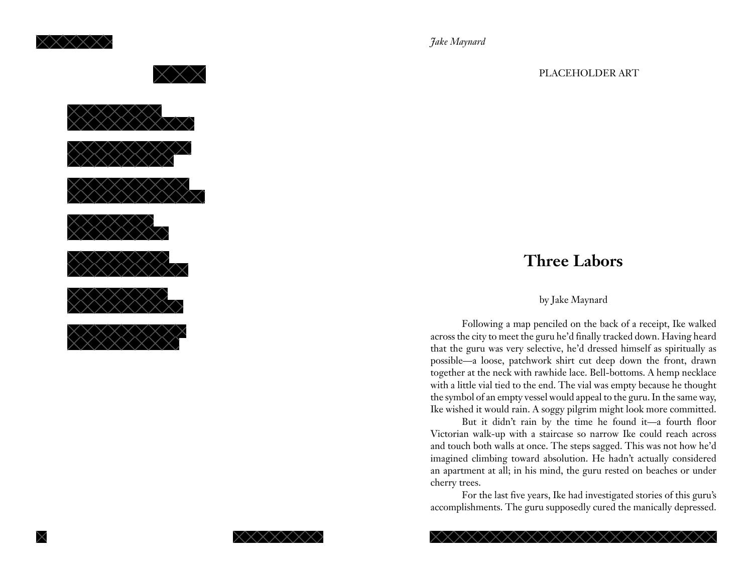



*Jake Maynard*

#### PLACEHOLDER ART

# **Three Labors**

# by Jake Maynard

Following a map penciled on the back of a receipt, Ike walked across the city to meet the guru he'd finally tracked down. Having heard that the guru was very selective, he'd dressed himself as spiritually as possible—a loose, patchwork shirt cut deep down the front, drawn together at the neck with rawhide lace. Bell-bottoms. A hemp necklace with a little vial tied to the end. The vial was empty because he thought the symbol of an empty vessel would appeal to the guru. In the same way, Ike wished it would rain. A soggy pilgrim might look more committed.

But it didn't rain by the time he found it—a fourth floor Victorian walk-up with a staircase so narrow Ike could reach across and touch both walls at once. The steps sagged. This was not how he'd imagined climbing toward absolution. He hadn't actually considered an apartment at all; in his mind, the guru rested on beaches or under cherry trees.

For the last five years, Ike had investigated stories of this guru's accomplishments. The guru supposedly cured the manically depressed.



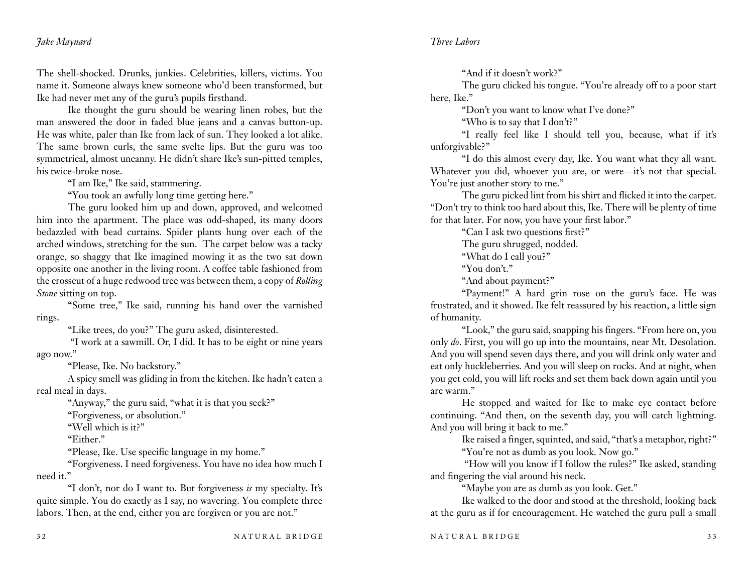The shell-shocked. Drunks, junkies. Celebrities, killers, victims. You name it. Someone always knew someone who'd been transformed, but Ike had never met any of the guru's pupils firsthand.

Ike thought the guru should be wearing linen robes, but the man answered the door in faded blue jeans and a canvas button-up. He was white, paler than Ike from lack of sun. They looked a lot alike. The same brown curls, the same svelte lips. But the guru was too symmetrical, almost uncanny. He didn't share Ike's sun-pitted temples, his twice-broke nose.

"I am Ike," Ike said, stammering.

"You took an awfully long time getting here."

The guru looked him up and down, approved, and welcomed him into the apartment. The place was odd-shaped, its many doors bedazzled with bead curtains. Spider plants hung over each of the arched windows, stretching for the sun. The carpet below was a tacky orange, so shaggy that Ike imagined mowing it as the two sat down opposite one another in the living room. A coffee table fashioned from the crosscut of a huge redwood tree was between them, a copy of *Rolling Stone* sitting on top.

"Some tree," Ike said, running his hand over the varnished rings.

"Like trees, do you?" The guru asked, disinterested.

 "I work at a sawmill. Or, I did. It has to be eight or nine years ago now."

"Please, Ike. No backstory."

A spicy smell was gliding in from the kitchen. Ike hadn't eaten a real meal in days.

"Anyway," the guru said, "what it is that you seek?"

"Forgiveness, or absolution."

"Well which is it?"

"Either."

"Please, Ike. Use specific language in my home."

"Forgiveness. I need forgiveness. You have no idea how much I need it."

"I don't, nor do I want to. But forgiveness *is* my specialty. It's quite simple. You do exactly as I say, no wavering. You complete three labors. Then, at the end, either you are forgiven or you are not."

"And if it doesn't work?"

The guru clicked his tongue. "You're already off to a poor start here, Ike."

"Don't you want to know what I've done?"

"Who is to say that I don't?"

"I really feel like I should tell you, because, what if it's unforgivable?"

"I do this almost every day, Ike. You want what they all want. Whatever you did, whoever you are, or were—it's not that special. You're just another story to me."

The guru picked lint from his shirt and flicked it into the carpet. "Don't try to think too hard about this, Ike. There will be plenty of time for that later. For now, you have your first labor."

"Can I ask two questions first?"

The guru shrugged, nodded.

"What do I call you?"

"You don't."

"And about payment?"

"Payment!" A hard grin rose on the guru's face. He was frustrated, and it showed. Ike felt reassured by his reaction, a little sign of humanity.

"Look," the guru said, snapping his fingers. "From here on, you only *do*. First, you will go up into the mountains, near Mt. Desolation. And you will spend seven days there, and you will drink only water and eat only huckleberries. And you will sleep on rocks. And at night, when you get cold, you will lift rocks and set them back down again until you are warm."

He stopped and waited for Ike to make eye contact before continuing. "And then, on the seventh day, you will catch lightning. And you will bring it back to me."

> Ike raised a finger, squinted, and said, "that's a metaphor, right?" "You're not as dumb as you look. Now go."

 "How will you know if I follow the rules?" Ike asked, standing and fingering the vial around his neck.

"Maybe you are as dumb as you look. Get."

Ike walked to the door and stood at the threshold, looking back at the guru as if for encouragement. He watched the guru pull a small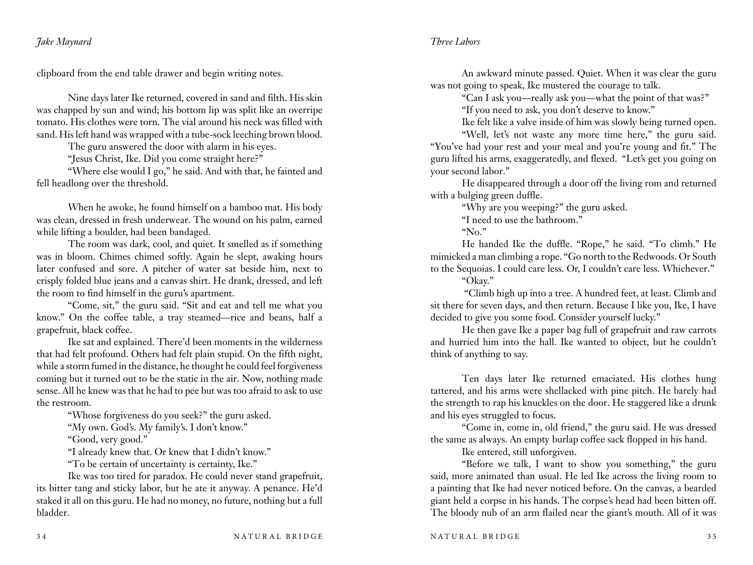clipboard from the end table drawer and begin writing notes.

Nine days later Ike returned, covered in sand and filth. His skin was chapped by sun and wind; his bottom lip was split like an overripe tomato. His clothes were torn. The vial around his neck was filled with sand. His left hand was wrapped with a tube-sock leeching brown blood.

The guru answered the door with alarm in his eyes.

"Jesus Christ, Ike. Did you come straight here?"

"Where else would I go," he said. And with that, he fainted and fell headlong over the threshold.

When he awoke, he found himself on a bamboo mat. His body was clean, dressed in fresh underwear. The wound on his palm, earned while lifting a boulder, had been bandaged.

The room was dark, cool, and quiet. It smelled as if something was in bloom. Chimes chimed softly. Again he slept, awaking hours later confused and sore. A pitcher of water sat beside him, next to crisply folded blue jeans and a canvas shirt. He drank, dressed, and left the room to find himself in the guru's apartment.

"Come, sit," the guru said. "Sit and eat and tell me what you know." On the coffee table, a tray steamed—rice and beans, half a grapefruit, black coffee.

Ike sat and explained. There'd been moments in the wilderness that had felt profound. Others had felt plain stupid. On the fifth night, while a storm fumed in the distance, he thought he could feel forgiveness coming but it turned out to be the static in the air. Now, nothing made sense. All he knew was that he had to pee but was too afraid to ask to use the restroom.

"Whose forgiveness do you seek?" the guru asked.

"My own. God's. My family's. I don't know."

"Good, very good."

"I already knew that. Or knew that I didn't know."

"To be certain of uncertainty is certainty, Ike."

Ike was too tired for paradox. He could never stand grapefruit, its bitter tang and sticky labor, but he ate it anyway. A penance. He'd staked it all on this guru. He had no money, no future, nothing but a full bladder.

An awkward minute passed. Quiet. When it was clear the guru was not going to speak, Ike mustered the courage to talk.

"Can I ask you—really ask you—what the point of that was?"

"If you need to ask, you don't deserve to know."

Ike felt like a valve inside of him was slowly being turned open.

"Well, let's not waste any more time here," the guru said. "You've had your rest and your meal and you're young and fit." The guru lifted his arms, exaggeratedly, and flexed. "Let's get you going on your second labor."

He disappeared through a door off the living rom and returned with a bulging green duffle.

"Why are you weeping?" the guru asked.

"I need to use the bathroom."

"No."

He handed Ike the duffle. "Rope," he said. "To climb." He mimicked a man climbing a rope. "Go north to the Redwoods. Or South to the Sequoias. I could care less. Or, I couldn't care less. Whichever."

"Okay."

 "Climb high up into a tree. A hundred feet, at least. Climb and sit there for seven days, and then return. Because I like you, Ike, I have decided to give you some food. Consider yourself lucky."

He then gave Ike a paper bag full of grapefruit and raw carrots and hurried him into the hall. Ike wanted to object, but he couldn't think of anything to say.

Ten days later Ike returned emaciated. His clothes hung tattered, and his arms were shellacked with pine pitch. He barely had the strength to rap his knuckles on the door. He staggered like a drunk and his eyes struggled to focus.

"Come in, come in, old friend," the guru said. He was dressed the same as always. An empty burlap coffee sack flopped in his hand.

Ike entered, still unforgiven.

"Before we talk, I want to show you something," the guru said, more animated than usual. He led Ike across the living room to a painting that Ike had never noticed before. On the canvas, a bearded giant held a corpse in his hands. The corpse's head had been bitten off. The bloody nub of an arm flailed near the giant's mouth. All of it was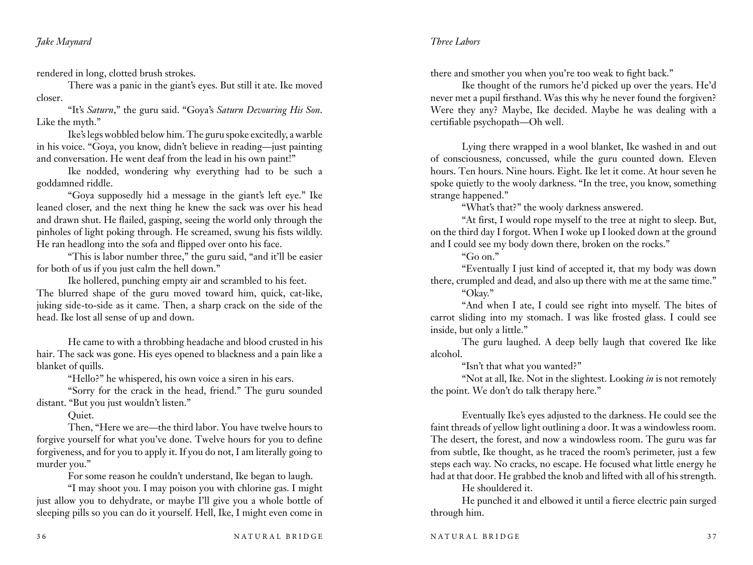rendered in long, clotted brush strokes.

There was a panic in the giant's eyes. But still it ate. Ike moved closer.

"It's *Saturn*," the guru said. "Goya's *Saturn Devouring His Son*. Like the myth."

Ike's legs wobbled below him. The guru spoke excitedly, a warble in his voice. "Goya, you know, didn't believe in reading—just painting and conversation. He went deaf from the lead in his own paint!"

Ike nodded, wondering why everything had to be such a goddamned riddle.

"Goya supposedly hid a message in the giant's left eye." Ike leaned closer, and the next thing he knew the sack was over his head and drawn shut. He flailed, gasping, seeing the world only through the pinholes of light poking through. He screamed, swung his fists wildly. He ran headlong into the sofa and flipped over onto his face.

"This is labor number three," the guru said, "and it'll be easier for both of us if you just calm the hell down."

Ike hollered, punching empty air and scrambled to his feet. The blurred shape of the guru moved toward him, quick, cat-like, juking side-to-side as it came. Then, a sharp crack on the side of the head. Ike lost all sense of up and down.

He came to with a throbbing headache and blood crusted in his hair. The sack was gone. His eyes opened to blackness and a pain like a blanket of quills.

"Hello?" he whispered, his own voice a siren in his ears.

"Sorry for the crack in the head, friend." The guru sounded distant. "But you just wouldn't listen."

Quiet.

Then, "Here we are—the third labor. You have twelve hours to forgive yourself for what you've done. Twelve hours for you to define forgiveness, and for you to apply it. If you do not, I am literally going to murder you."

For some reason he couldn't understand, Ike began to laugh.

"I may shoot you. I may poison you with chlorine gas. I might just allow you to dehydrate, or maybe I'll give you a whole bottle of sleeping pills so you can do it yourself. Hell, Ike, I might even come in there and smother you when you're too weak to fight back."

Ike thought of the rumors he'd picked up over the years. He'd never met a pupil firsthand. Was this why he never found the forgiven? Were they any? Maybe, Ike decided. Maybe he was dealing with a certifiable psychopath—Oh well.

Lying there wrapped in a wool blanket, Ike washed in and out of consciousness, concussed, while the guru counted down. Eleven hours. Ten hours. Nine hours. Eight. Ike let it come. At hour seven he spoke quietly to the wooly darkness. "In the tree, you know, something strange happened."

"What's that?" the wooly darkness answered.

"At first, I would rope myself to the tree at night to sleep. But, on the third day I forgot. When I woke up I looked down at the ground and I could see my body down there, broken on the rocks."

"Go on."

"Eventually I just kind of accepted it, that my body was down there, crumpled and dead, and also up there with me at the same time." "Okay."

"And when I ate, I could see right into myself. The bites of carrot sliding into my stomach. I was like frosted glass. I could see inside, but only a little."

The guru laughed. A deep belly laugh that covered Ike like alcohol.

"Isn't that what you wanted?"

"Not at all, Ike. Not in the slightest. Looking *in* is not remotely the point. We don't do talk therapy here."

Eventually Ike's eyes adjusted to the darkness. He could see the faint threads of yellow light outlining a door. It was a windowless room. The desert, the forest, and now a windowless room. The guru was far from subtle, Ike thought, as he traced the room's perimeter, just a few steps each way. No cracks, no escape. He focused what little energy he had at that door. He grabbed the knob and lifted with all of his strength.

He shouldered it.

He punched it and elbowed it until a fierce electric pain surged through him.